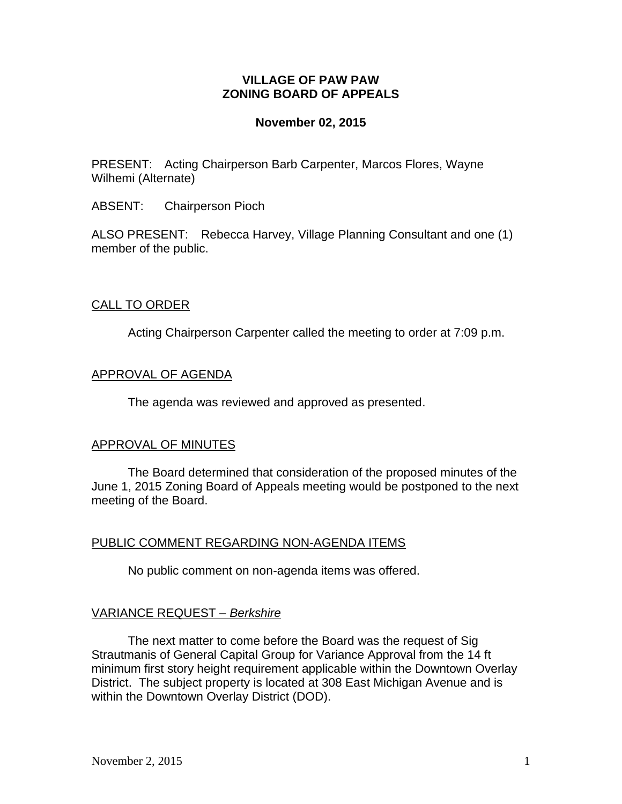# **VILLAGE OF PAW PAW ZONING BOARD OF APPEALS**

## **November 02, 2015**

PRESENT: Acting Chairperson Barb Carpenter, Marcos Flores, Wayne Wilhemi (Alternate)

ABSENT: Chairperson Pioch

ALSO PRESENT: Rebecca Harvey, Village Planning Consultant and one (1) member of the public.

# CALL TO ORDER

Acting Chairperson Carpenter called the meeting to order at 7:09 p.m.

### APPROVAL OF AGENDA

The agenda was reviewed and approved as presented.

#### APPROVAL OF MINUTES

The Board determined that consideration of the proposed minutes of the June 1, 2015 Zoning Board of Appeals meeting would be postponed to the next meeting of the Board.

# PUBLIC COMMENT REGARDING NON-AGENDA ITEMS

No public comment on non-agenda items was offered.

# VARIANCE REQUEST *– Berkshire*

The next matter to come before the Board was the request of Sig Strautmanis of General Capital Group for Variance Approval from the 14 ft minimum first story height requirement applicable within the Downtown Overlay District. The subject property is located at 308 East Michigan Avenue and is within the Downtown Overlay District (DOD).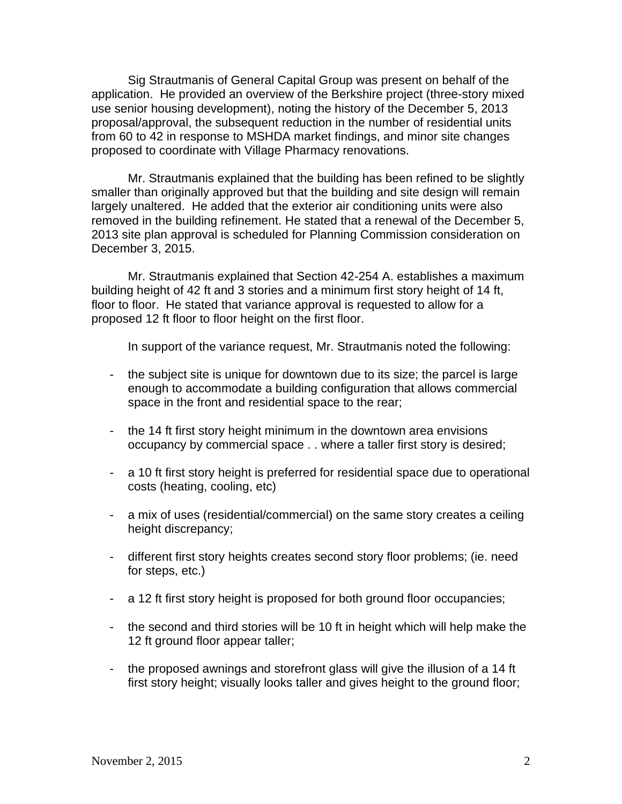Sig Strautmanis of General Capital Group was present on behalf of the application. He provided an overview of the Berkshire project (three-story mixed use senior housing development), noting the history of the December 5, 2013 proposal/approval, the subsequent reduction in the number of residential units from 60 to 42 in response to MSHDA market findings, and minor site changes proposed to coordinate with Village Pharmacy renovations.

Mr. Strautmanis explained that the building has been refined to be slightly smaller than originally approved but that the building and site design will remain largely unaltered. He added that the exterior air conditioning units were also removed in the building refinement. He stated that a renewal of the December 5, 2013 site plan approval is scheduled for Planning Commission consideration on December 3, 2015.

Mr. Strautmanis explained that Section 42-254 A. establishes a maximum building height of 42 ft and 3 stories and a minimum first story height of 14 ft, floor to floor. He stated that variance approval is requested to allow for a proposed 12 ft floor to floor height on the first floor.

In support of the variance request, Mr. Strautmanis noted the following:

- the subject site is unique for downtown due to its size; the parcel is large enough to accommodate a building configuration that allows commercial space in the front and residential space to the rear;
- the 14 ft first story height minimum in the downtown area envisions occupancy by commercial space . . where a taller first story is desired;
- a 10 ft first story height is preferred for residential space due to operational costs (heating, cooling, etc)
- a mix of uses (residential/commercial) on the same story creates a ceiling height discrepancy;
- different first story heights creates second story floor problems; (ie. need for steps, etc.)
- a 12 ft first story height is proposed for both ground floor occupancies;
- the second and third stories will be 10 ft in height which will help make the 12 ft ground floor appear taller;
- the proposed awnings and storefront glass will give the illusion of a 14 ft first story height; visually looks taller and gives height to the ground floor;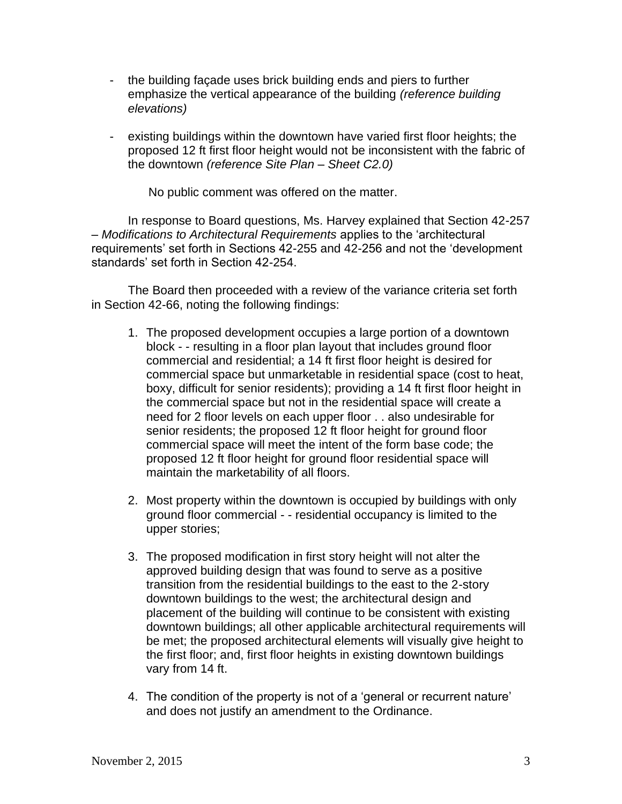- the building façade uses brick building ends and piers to further emphasize the vertical appearance of the building *(reference building elevations)*
- existing buildings within the downtown have varied first floor heights; the proposed 12 ft first floor height would not be inconsistent with the fabric of the downtown *(reference Site Plan – Sheet C2.0)*

No public comment was offered on the matter.

In response to Board questions, Ms. Harvey explained that Section 42-257 – *Modifications to Architectural Requirements* applies to the 'architectural requirements' set forth in Sections 42-255 and 42-256 and not the 'development standards' set forth in Section 42-254.

The Board then proceeded with a review of the variance criteria set forth in Section 42-66, noting the following findings:

- 1. The proposed development occupies a large portion of a downtown block - - resulting in a floor plan layout that includes ground floor commercial and residential; a 14 ft first floor height is desired for commercial space but unmarketable in residential space (cost to heat, boxy, difficult for senior residents); providing a 14 ft first floor height in the commercial space but not in the residential space will create a need for 2 floor levels on each upper floor . . also undesirable for senior residents; the proposed 12 ft floor height for ground floor commercial space will meet the intent of the form base code; the proposed 12 ft floor height for ground floor residential space will maintain the marketability of all floors.
- 2. Most property within the downtown is occupied by buildings with only ground floor commercial - - residential occupancy is limited to the upper stories;
- 3. The proposed modification in first story height will not alter the approved building design that was found to serve as a positive transition from the residential buildings to the east to the 2-story downtown buildings to the west; the architectural design and placement of the building will continue to be consistent with existing downtown buildings; all other applicable architectural requirements will be met; the proposed architectural elements will visually give height to the first floor; and, first floor heights in existing downtown buildings vary from 14 ft.
- 4. The condition of the property is not of a 'general or recurrent nature' and does not justify an amendment to the Ordinance.